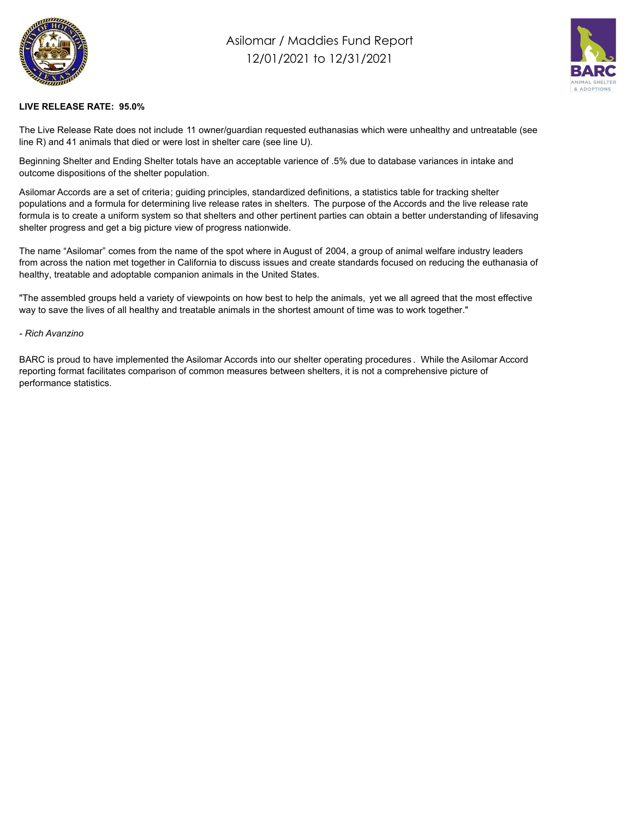

## Asilomar / Maddies Fund Report 12/01/2021 to 12/31/2021



## **LIVE RELEASE RATE: 95.0%**

The Live Release Rate does not include 11 owner/guardian requested euthanasias which were unhealthy and untreatable (see line R) and 41 animals that died or were lost in shelter care (see line U).

Beginning Shelter and Ending Shelter totals have an acceptable varience of .5% due to database variances in intake and outcome dispositions of the shelter population.

Asilomar Accords are a set of criteria; guiding principles, standardized definitions, a statistics table for tracking shelter populations and a formula for determining live release rates in shelters. The purpose of the Accords and the live release rate formula is to create a uniform system so that shelters and other pertinent parties can obtain a better understanding of lifesaving shelter progress and get a big picture view of progress nationwide.

The name "Asilomar" comes from the name of the spot where in August of 2004, a group of animal welfare industry leaders from across the nation met together in California to discuss issues and create standards focused on reducing the euthanasia of healthy, treatable and adoptable companion animals in the United States.

"The assembled groups held a variety of viewpoints on how best to help the animals, yet we all agreed that the most effective way to save the lives of all healthy and treatable animals in the shortest amount of time was to work together."

## *- Rich Avanzino*

BARC is proud to have implemented the Asilomar Accords into our shelter operating procedures . While the Asilomar Accord reporting format facilitates comparison of common measures between shelters, it is not a comprehensive picture of performance statistics.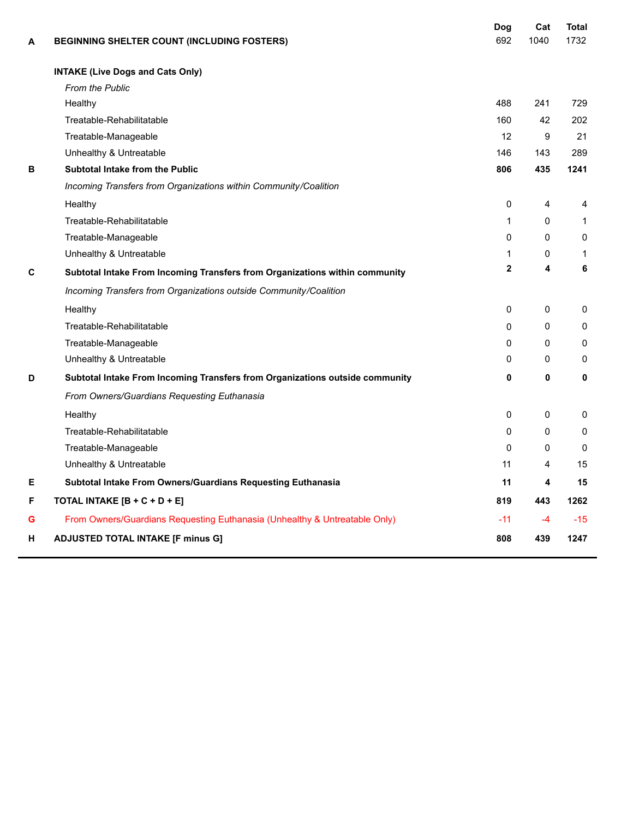| A | BEGINNING SHELTER COUNT (INCLUDING FOSTERS)                                  | Dog<br>692   | Cat<br>1040 | <b>Total</b><br>1732 |
|---|------------------------------------------------------------------------------|--------------|-------------|----------------------|
|   | <b>INTAKE (Live Dogs and Cats Only)</b>                                      |              |             |                      |
|   | <b>From the Public</b>                                                       |              |             |                      |
|   | Healthy                                                                      | 488          | 241         | 729                  |
|   | Treatable-Rehabilitatable                                                    | 160          | 42          | 202                  |
|   | Treatable-Manageable                                                         | 12           | 9           | 21                   |
|   | Unhealthy & Untreatable                                                      | 146          | 143         | 289                  |
| в | Subtotal Intake from the Public                                              | 806          | 435         | 1241                 |
|   | Incoming Transfers from Organizations within Community/Coalition             |              |             |                      |
|   | Healthy                                                                      | 0            | 4           | 4                    |
|   | Treatable-Rehabilitatable                                                    | 1            | 0           | $\mathbf{1}$         |
|   | Treatable-Manageable                                                         | $\Omega$     | 0           | 0                    |
|   | Unhealthy & Untreatable                                                      | 1            | 0           | $\mathbf{1}$         |
| C | Subtotal Intake From Incoming Transfers from Organizations within community  | $\mathbf{2}$ | 4           | 6                    |
|   | Incoming Transfers from Organizations outside Community/Coalition            |              |             |                      |
|   | Healthy                                                                      | $\mathbf{0}$ | 0           | 0                    |
|   | Treatable-Rehabilitatable                                                    | $\Omega$     | 0           | $\mathbf{0}$         |
|   | Treatable-Manageable                                                         | $\mathbf{0}$ | 0           | 0                    |
|   | Unhealthy & Untreatable                                                      | $\mathbf{0}$ | 0           | 0                    |
| D | Subtotal Intake From Incoming Transfers from Organizations outside community | 0            | 0           | 0                    |
|   | From Owners/Guardians Requesting Euthanasia                                  |              |             |                      |
|   | Healthy                                                                      | $\mathbf{0}$ | 0           | $\mathbf{0}$         |
|   | Treatable-Rehabilitatable                                                    | $\mathbf{0}$ | $\Omega$    | $\mathbf{0}$         |
|   | Treatable-Manageable                                                         | $\mathbf{0}$ | 0           | $\mathbf{0}$         |
|   | Unhealthy & Untreatable                                                      | 11           | 4           | 15                   |
| Е | Subtotal Intake From Owners/Guardians Requesting Euthanasia                  | 11           | 4           | 15                   |
| F | TOTAL INTAKE [B + C + D + E]                                                 | 819          | 443         | 1262                 |
| G | From Owners/Guardians Requesting Euthanasia (Unhealthy & Untreatable Only)   | $-11$        | $-4$        | $-15$                |
| н | <b>ADJUSTED TOTAL INTAKE [F minus G]</b>                                     | 808          | 439         | 1247                 |